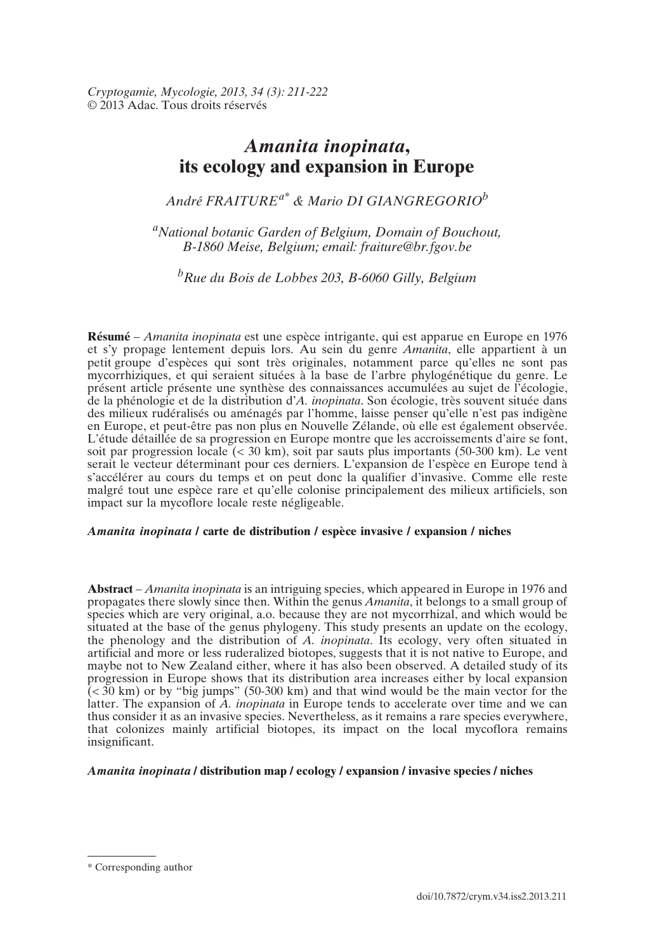*Cryptogamie, Mycologie, 2013, 34 (3): 211-222* © 2013 Adac. Tous droits réservés

# *Amanita inopinata***, its ecology and expansion in Europe**

*André FRAITUREa\* & Mario DI GIANGREGORIOb*

*aNational botanic Garden of Belgium, Domain of Bouchout, B-1860 Meise, Belgium; email: fraiture@br.fgov.be*

*bRue du Bois de Lobbes 203, B-6060 Gilly, Belgium*

**Résumé** – *Amanita inopinata* est une espèce intrigante, qui est apparue en Europe en 1976 et s'y propage lentement depuis lors. Au sein du genre *Amanita*, elle appartient à un petit groupe d'espèces qui sont très originales, notamment parce qu'elles ne sont pas mycorrhiziques, et qui seraient situées à la base de l'arbre phylogénétique du genre. Le présent article présente une synthèse des connaissances accumulées au sujet de l'écologie, de la phénologie et de la distribution d'*A. inopinata*. Son écologie, très souvent située dans des milieux rudéralisés ou aménagés par l'homme, laisse penser qu'elle n'est pas indigène en Europe, et peut-être pas non plus en Nouvelle Zélande, où elle est également observée. L'étude détaillée de sa progression en Europe montre que les accroissements d'aire se font, soit par progression locale  $\ll$  30 km), soit par sauts plus importants (50-300 km). Le vent serait le vecteur déterminant pour ces derniers. L'expansion de l'espèce en Europe tend à s'accélérer au cours du temps et on peut donc la qualifier d'invasive. Comme elle reste malgré tout une espèce rare et qu'elle colonise principalement des milieux artificiels, son impact sur la mycoflore locale reste négligeable.

## *Amanita inopinata* **/ carte de distribution / espèce invasive / expansion / niches**

**Abstract** – *Amanita inopinata* is an intriguing species, which appeared in Europe in 1976 and propagates there slowly since then. Within the genus *Amanita*, it belongs to a small group of species which are very original, a.o. because they are not mycorrhizal, and which would be situated at the base of the genus phylogeny. This study presents an update on the ecology, the phenology and the distribution of *A. inopinata*. Its ecology, very often situated in artificial and more or less ruderalized biotopes, suggests that it is not native to Europe, and maybe not to New Zealand either, where it has also been observed. A detailed study of its progression in Europe shows that its distribution area increases either by local expansion  $\zeta$  < 30 km) or by "big jumps" (50-300 km) and that wind would be the main vector for the latter. The expansion of *A. inopinata* in Europe tends to accelerate over time and we can thus consider it as an invasive species. Nevertheless, as it remains a rare species everywhere, that colonizes mainly artificial biotopes, its impact on the local mycoflora remains insignificant.

# *Amanita inopinata* **/ distribution map / ecology / expansion / invasive species / niches**

<sup>\*</sup> Corresponding author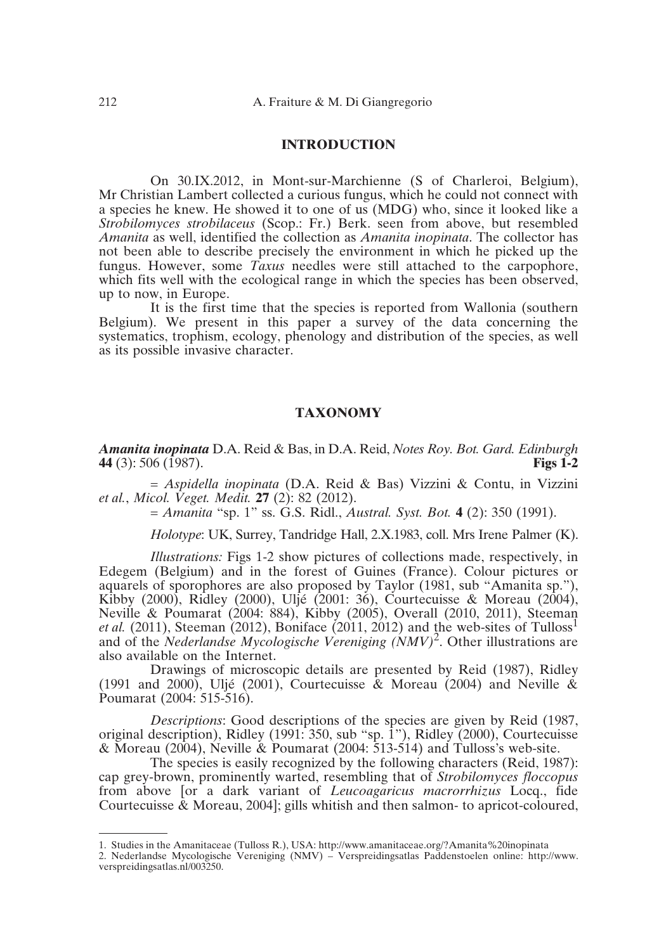# **INTRODUCTION**

On 30.IX.2012, in Mont-sur-Marchienne (S of Charleroi, Belgium), Mr Christian Lambert collected a curious fungus, which he could not connect with a species he knew. He showed it to one of us (MDG) who, since it looked like a *Strobilomyces strobilaceus* (Scop.: Fr.) Berk. seen from above, but resembled *Amanita* as well, identified the collection as *Amanita inopinata*. The collector has not been able to describe precisely the environment in which he picked up the fungus. However, some *Taxus* needles were still attached to the carpophore, which fits well with the ecological range in which the species has been observed, up to now, in Europe.

It is the first time that the species is reported from Wallonia (southern Belgium). We present in this paper a survey of the data concerning the systematics, trophism, ecology, phenology and distribution of the species, as well as its possible invasive character.

#### **TAXONOMY**

*Amanita inopinata* D.A. Reid & Bas, in D.A. Reid, *Notes Roy. Bot. Gard. Edinburgh* **44** (3): 506 (1987).

= *Aspidella inopinata* (D.A. Reid & Bas) Vizzini & Contu, in Vizzini *et al.*, *Micol. Veget. Medit.* **27** (2): 82 (2012).

= *Amanita* "sp. 1" ss. G.S. Ridl., *Austral. Syst. Bot.* **4** (2): 350 (1991).

*Holotype*: UK, Surrey, Tandridge Hall, 2.X.1983, coll. Mrs Irene Palmer (K).

*Illustrations:* Figs 1-2 show pictures of collections made, respectively, in Edegem (Belgium) and in the forest of Guines (France). Colour pictures or aquarels of sporophores are also proposed by Taylor (1981, sub "Amanita sp."), Kibby (2000), Ridley (2000), Uljé (2001: 36), Courtecuisse & Moreau (2004), Neville & Poumarat (2004: 884), Kibby (2005), Overall (2010, 2011), Steeman *et al.* (2011), Steeman (2012), Boniface (2011, 2012) and the web-sites of Tulloss<sup>1</sup> and of the *Nederlandse Mycologische Vereniging (NMV)*2. Other illustrations are also available on the Internet.

Drawings of microscopic details are presented by Reid (1987), Ridley (1991 and 2000), Uljé (2001), Courtecuisse  $\&$  Moreau (2004) and Neville  $\&$ Poumarat (2004: 515-516).

*Descriptions*: Good descriptions of the species are given by Reid (1987, original description), Ridley (1991: 350, sub "sp. 1"), Ridley (2000), Courtecuisse & Moreau (2004), Neville & Poumarat (2004: 513-514) and Tulloss's web-site.

The species is easily recognized by the following characters (Reid, 1987): cap grey-brown, prominently warted, resembling that of *Strobilomyces floccopus* from above [or a dark variant of *Leucoagaricus macrorrhizus* Locq., fide Courtecuisse & Moreau, 2004]; gills whitish and then salmon- to apricot-coloured,

<sup>1.</sup> Studies in the Amanitaceae (Tulloss R.), USA: http://www.amanitaceae.org/?Amanita%20inopinata

<sup>2.</sup> Nederlandse Mycologische Vereniging (NMV) – Verspreidingsatlas Paddenstoelen online: http://www. verspreidingsatlas.nl/003250.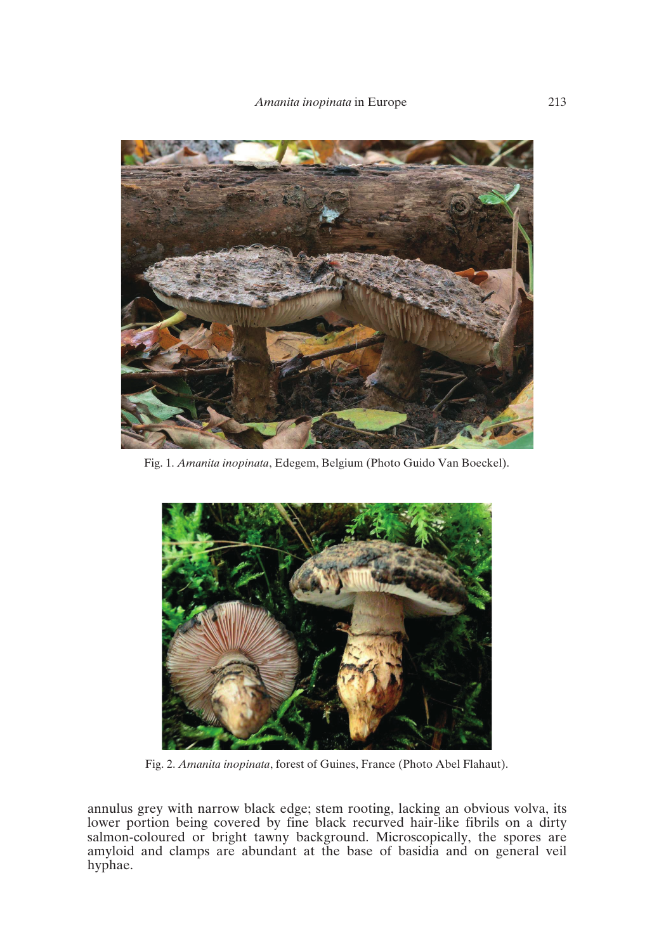

Fig. 1. *Amanita inopinata*, Edegem, Belgium (Photo Guido Van Boeckel).



Fig. 2. *Amanita inopinata*, forest of Guines, France (Photo Abel Flahaut).

annulus grey with narrow black edge; stem rooting, lacking an obvious volva, its lower portion being covered by fine black recurved hair-like fibrils on a dirty salmon-coloured or bright tawny background. Microscopically, the spores are amyloid and clamps are abundant at the base of basidia and on general veil hyphae.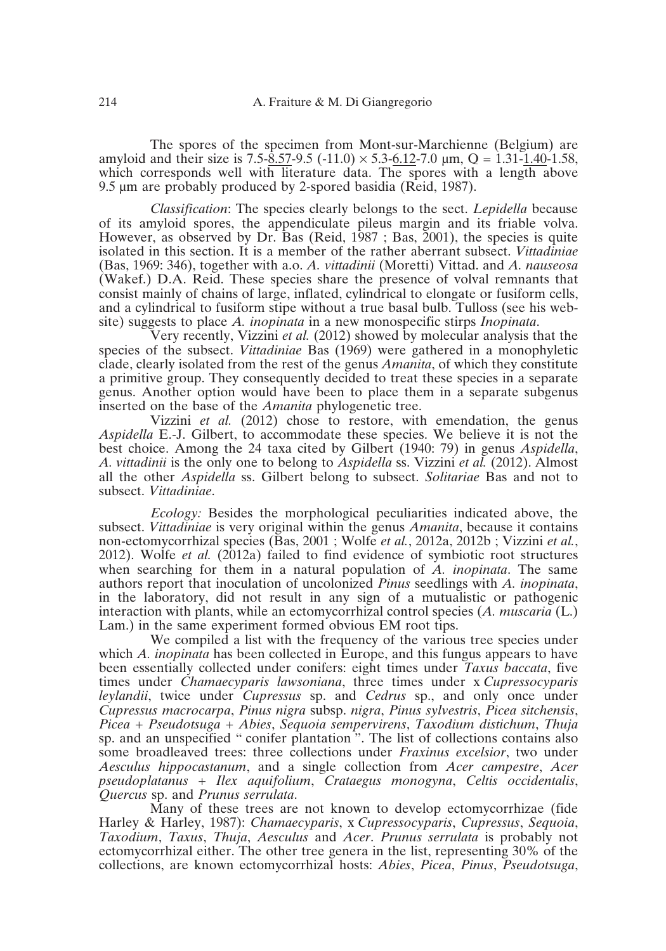The spores of the specimen from Mont-sur-Marchienne (Belgium) are amyloid and their size is 7.5-8.57-9.5 (-11.0)  $\times$  5.3-6.12-7.0 µm, Q = 1.31-1.40-1.58, which corresponds well with literature data. The spores with a length above 9.5 um are probably produced by 2-spored basidia (Reid, 1987).

*Classification*: The species clearly belongs to the sect. *Lepidella* because of its amyloid spores, the appendiculate pileus margin and its friable volva. However, as observed by Dr. Bas (Reid, 1987 ; Bas, 2001), the species is quite isolated in this section. It is a member of the rather aberrant subsect. *Vittadiniae* (Bas, 1969: 346), together with a.o. *A. vittadinii* (Moretti) Vittad. and *A. nauseosa* (Wakef.) D.A. Reid. These species share the presence of volval remnants that consist mainly of chains of large, inflated, cylindrical to elongate or fusiform cells, and a cylindrical to fusiform stipe without a true basal bulb. Tulloss (see his website) suggests to place *A. inopinata* in a new monospecific stirps *Inopinata*.

Very recently, Vizzini *et al.* (2012) showed by molecular analysis that the species of the subsect. *Vittadiniae* Bas (1969) were gathered in a monophyletic clade, clearly isolated from the rest of the genus *Amanita*, of which they constitute a primitive group. They consequently decided to treat these species in a separate genus. Another option would have been to place them in a separate subgenus inserted on the base of the *Amanita* phylogenetic tree.

Vizzini *et al.* (2012) chose to restore, with emendation, the genus *Aspidella* E.-J. Gilbert, to accommodate these species. We believe it is not the best choice. Among the 24 taxa cited by Gilbert (1940: 79) in genus *Aspidella*, *A. vittadinii* is the only one to belong to *Aspidella* ss. Vizzini *et al.* (2012). Almost all the other *Aspidella* ss. Gilbert belong to subsect. *Solitariae* Bas and not to subsect. *Vittadiniae*.

*Ecology:* Besides the morphological peculiarities indicated above, the subsect. *Vittadiniae* is very original within the genus *Amanita*, because it contains non-ectomycorrhizal species (Bas, 2001 ; Wolfe *et al.*, 2012a, 2012b ; Vizzini *et al.*, 2012). Wolfe *et al.* (2012a) failed to find evidence of symbiotic root structures when searching for them in a natural population of *A. inopinata*. The same authors report that inoculation of uncolonized *Pinus* seedlings with *A. inopinata*, in the laboratory, did not result in any sign of a mutualistic or pathogenic interaction with plants, while an ectomycorrhizal control species (*A. muscaria* (L.) Lam.) in the same experiment formed obvious EM root tips.

We compiled a list with the frequency of the various tree species under which *A. inopinata* has been collected in Europe, and this fungus appears to have been essentially collected under conifers: eight times under *Taxus baccata*, five times under *Chamaecyparis lawsoniana*, three times under x *Cupressocyparis leylandii*, twice under *Cupressus* sp. and *Cedrus* sp., and only once under *Cupressus macrocarpa*, *Pinus nigra* subsp. *nigra*, *Pinus sylvestris*, *Picea sitchensis*, *Picea* + *Pseudotsuga* + *Abies*, *Sequoia sempervirens*, *Taxodium distichum*, *Thuja* sp. and an unspecified " conifer plantation ". The list of collections contains also some broadleaved trees: three collections under *Fraxinus excelsior*, two under *Aesculus hippocastanum*, and a single collection from *Acer campestre*, *Acer pseudoplatanus* + *Ilex aquifolium*, *Crataegus monogyna*, *Celtis occidentalis*, *Quercus* sp. and *Prunus serrulata*.

Many of these trees are not known to develop ectomycorrhizae (fide Harley & Harley, 1987): *Chamaecyparis*, x *Cupressocyparis*, *Cupressus*, *Sequoia*, *Taxodium*, *Taxus*, *Thuja*, *Aesculus* and *Acer*. *Prunus serrulata* is probably not ectomycorrhizal either. The other tree genera in the list, representing 30% of the collections, are known ectomycorrhizal hosts: *Abies*, *Picea*, *Pinus*, *Pseudotsuga*,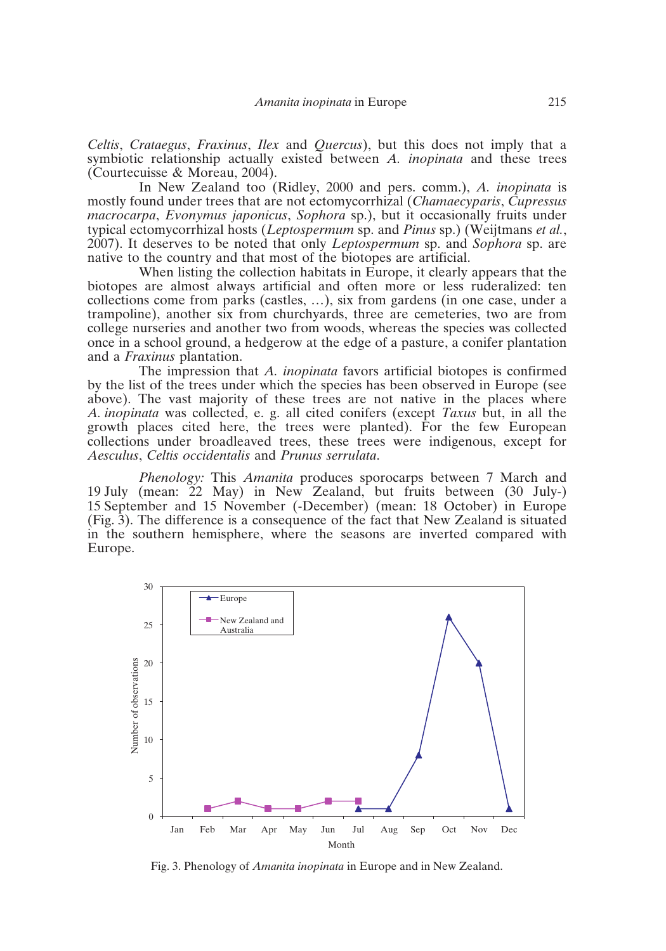*Celtis*, *Crataegus*, *Fraxinus*, *Ilex* and *Quercus*), but this does not imply that a symbiotic relationship actually existed between *A. inopinata* and these trees (Courtecuisse & Moreau, 2004).

In New Zealand too (Ridley, 2000 and pers. comm.), *A. inopinata* is mostly found under trees that are not ectomycorrhizal (*Chamaecyparis*, *Cupressus macrocarpa*, *Evonymus japonicus*, *Sophora* sp.), but it occasionally fruits under typical ectomycorrhizal hosts (*Leptospermum* sp. and *Pinus* sp.) (Weijtmans *et al.*, 2007). It deserves to be noted that only *Leptospermum* sp. and *Sophora* sp. are native to the country and that most of the biotopes are artificial.

When listing the collection habitats in Europe, it clearly appears that the biotopes are almost always artificial and often more or less ruderalized: ten collections come from parks (castles, …), six from gardens (in one case, under a trampoline), another six from churchyards, three are cemeteries, two are from college nurseries and another two from woods, whereas the species was collected once in a school ground, a hedgerow at the edge of a pasture, a conifer plantation and a *Fraxinus* plantation.

The impression that *A. inopinata* favors artificial biotopes is confirmed by the list of the trees under which the species has been observed in Europe (see above). The vast majority of these trees are not native in the places where *A. inopinata* was collected, e. g. all cited conifers (except *Taxus* but, in all the growth places cited here, the trees were planted). For the few European collections under broadleaved trees, these trees were indigenous, except for *Aesculus*, *Celtis occidentalis* and *Prunus serrulata*.

*Phenology:* This *Amanita* produces sporocarps between 7 March and 19 July (mean: 22 May) in New Zealand, but fruits between (30 July-) 15 September and 15 November (-December) (mean: 18 October) in Europe (Fig. 3). The difference is a consequence of the fact that New Zealand is situated in the southern hemisphere, where the seasons are inverted compared with Europe.



Fig. 3. Phenology of *Amanita inopinata* in Europe and in New Zealand.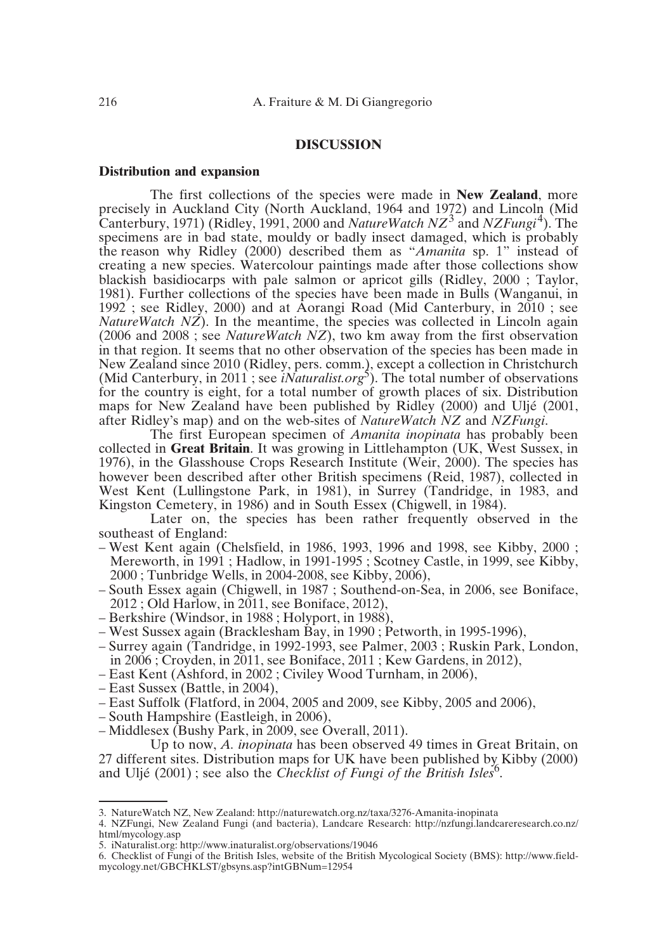# **DISCUSSION**

#### **Distribution and expansion**

The first collections of the species were made in **New Zealand**, more precisely in Auckland City (North Auckland, 1964 and 1972) and Lincoln (Mid Canterbury, 1971) (Ridley, 1991, 2000 and *NatureWatch NZ*3 and *NZFungi*4). The specimens are in bad state, mouldy or badly insect damaged, which is probably the reason why Ridley (2000) described them as "*Amanita* sp. 1" instead of creating a new species. Watercolour paintings made after those collections show blackish basidiocarps with pale salmon or apricot gills (Ridley, 2000 ; Taylor, 1981). Further collections of the species have been made in Bulls (Wanganui, in 1992 ; see Ridley, 2000) and at Aorangi Road (Mid Canterbury, in 2010 ; see *NatureWatch NZ*). In the meantime, the species was collected in Lincoln again (2006 and 2008 ; see *NatureWatch NZ*), two km away from the first observation in that region. It seems that no other observation of the species has been made in New Zealand since 2010 (Ridley, pers. comm.), except a collection in Christchurch (Mid Canterbury, in 2011; see *iNaturalist.org*<sup>5</sup>). The total number of observations for the country is eight, for a total number of growth places of six. Distribution maps for New Zealand have been published by Ridley (2000) and Uljé (2001, after Ridley's map) and on the web-sites of *NatureWatch NZ* and *NZFungi*.

The first European specimen of *Amanita inopinata* has probably been collected in **Great Britain**. It was growing in Littlehampton (UK, West Sussex, in 1976), in the Glasshouse Crops Research Institute (Weir, 2000). The species has however been described after other British specimens (Reid, 1987), collected in West Kent (Lullingstone Park, in 1981), in Surrey (Tandridge, in 1983, and Kingston Cemetery, in 1986) and in South Essex (Chigwell, in 1984).

Later on, the species has been rather frequently observed in the southeast of England:

- West Kent again (Chelsfield, in 1986, 1993, 1996 and 1998, see Kibby, 2000 ; Mereworth, in 1991 ; Hadlow, in 1991-1995 ; Scotney Castle, in 1999, see Kibby, 2000 ; Tunbridge Wells, in 2004-2008, see Kibby, 2006),
- South Essex again (Chigwell, in 1987 ; Southend-on-Sea, in 2006, see Boniface, 2012 ; Old Harlow, in 2011, see Boniface, 2012),
- Berkshire (Windsor, in 1988 ; Holyport, in 1988),
- West Sussex again (Bracklesham Bay, in 1990 ; Petworth, in 1995-1996),
- Surrey again (Tandridge, in 1992-1993, see Palmer, 2003 ; Ruskin Park, London, in 2006 ; Croyden, in 2011, see Boniface, 2011 ; Kew Gardens, in 2012),
- East Kent (Ashford, in 2002 ; Civiley Wood Turnham, in 2006),
- East Sussex (Battle, in 2004),
- East Suffolk (Flatford, in 2004, 2005 and 2009, see Kibby, 2005 and 2006),
- South Hampshire (Eastleigh, in 2006),
- Middlesex (Bushy Park, in 2009, see Overall, 2011).

Up to now, *A. inopinata* has been observed 49 times in Great Britain, on 27 different sites. Distribution maps for UK have been published by Kibby (2000) and Uljé (2001); see also the *Checklist of Fungi of the British Isles*<sup>6</sup>.

<sup>3.</sup> NatureWatch NZ, New Zealand: http://naturewatch.org.nz/taxa/3276-Amanita-inopinata

<sup>4.</sup> NZFungi, New Zealand Fungi (and bacteria), Landcare Research: http://nzfungi.landcareresearch.co.nz/ html/mycology.asp

<sup>5.</sup> iNaturalist.org: http://www.inaturalist.org/observations/19046

<sup>6.</sup> Checklist of Fungi of the British Isles, website of the British Mycological Society (BMS): http://www.fieldmycology.net/GBCHKLST/gbsyns.asp?intGBNum=12954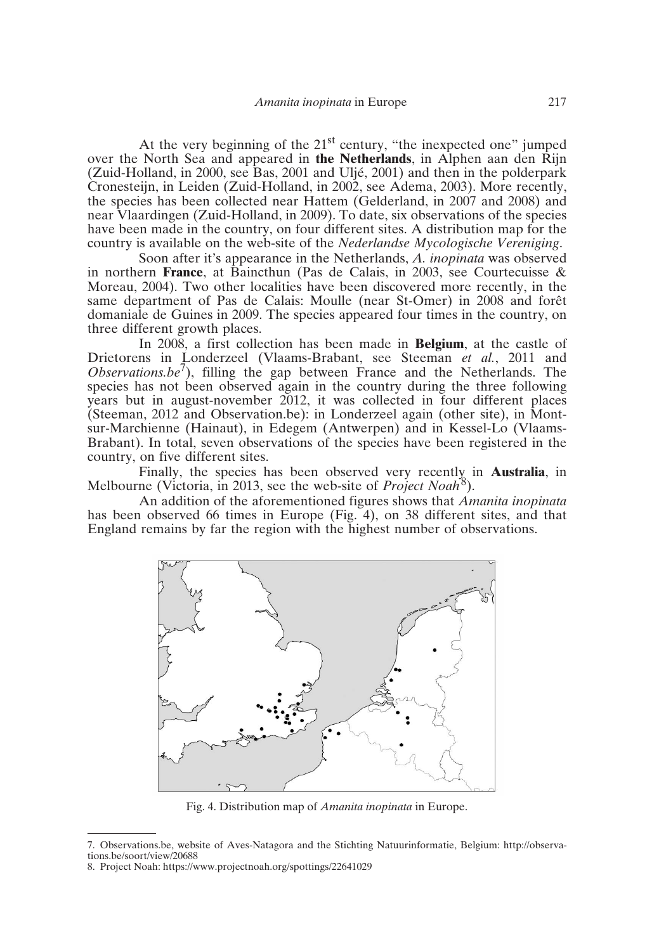At the very beginning of the  $21<sup>st</sup>$  century, "the inexpected one" jumped over the North Sea and appeared in **the Netherlands**, in Alphen aan den Rijn (Zuid-Holland, in 2000, see Bas, 2001 and Uljé, 2001) and then in the polderpark Cronesteijn, in Leiden (Zuid-Holland, in 2002, see Adema, 2003). More recently, the species has been collected near Hattem (Gelderland, in 2007 and 2008) and near Vlaardingen (Zuid-Holland, in 2009). To date, six observations of the species have been made in the country, on four different sites. A distribution map for the country is available on the web-site of the *Nederlandse Mycologische Vereniging*.

Soon after it's appearance in the Netherlands, *A. inopinata* was observed in northern **France**, at Baincthun (Pas de Calais, in 2003, see Courtecuisse & Moreau, 2004). Two other localities have been discovered more recently, in the same department of Pas de Calais: Moulle (near St-Omer) in 2008 and forêt domaniale de Guines in 2009. The species appeared four times in the country, on three different growth places.

In 2008, a first collection has been made in **Belgium**, at the castle of Drietorens in Londerzeel (Vlaams-Brabant, see Steeman *et al.*, 2011 and *Observations.be''*), filling the gap between France and the Netherlands. The species has not been observed again in the country during the three following years but in august-november 2012, it was collected in four different places (Steeman, 2012 and Observation.be): in Londerzeel again (other site), in Montsur-Marchienne (Hainaut), in Edegem (Antwerpen) and in Kessel-Lo (Vlaams-Brabant). In total, seven observations of the species have been registered in the country, on five different sites.

Finally, the species has been observed very recently in **Australia**, in Melbourne (Victoria, in 2013, see the web-site of *Project Noah*<sup>8</sup>).

An addition of the aforementioned figures shows that *Amanita inopinata* has been observed 66 times in Europe (Fig. 4), on 38 different sites, and that England remains by far the region with the highest number of observations.



Fig. 4. Distribution map of *Amanita inopinata* in Europe.

<sup>7.</sup> Observations.be, website of Aves-Natagora and the Stichting Natuurinformatie, Belgium: http://observations.be/soort/view/20688

<sup>8.</sup> Project Noah: https://www.projectnoah.org/spottings/22641029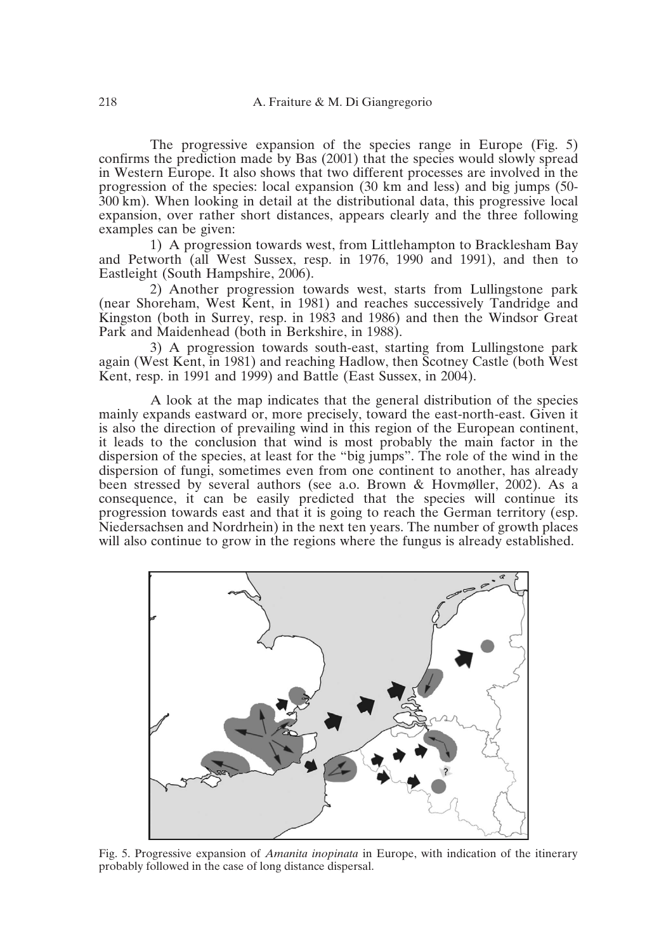The progressive expansion of the species range in Europe (Fig. 5) confirms the prediction made by Bas (2001) that the species would slowly spread in Western Europe. It also shows that two different processes are involved in the progression of the species: local expansion (30 km and less) and big jumps (50- 300 km). When looking in detail at the distributional data, this progressive local expansion, over rather short distances, appears clearly and the three following examples can be given:

1) A progression towards west, from Littlehampton to Bracklesham Bay and Petworth (all West Sussex, resp. in 1976, 1990 and 1991), and then to Eastleight (South Hampshire, 2006).

2) Another progression towards west, starts from Lullingstone park (near Shoreham, West Kent, in 1981) and reaches successively Tandridge and Kingston (both in Surrey, resp. in 1983 and 1986) and then the Windsor Great Park and Maidenhead (both in Berkshire, in 1988).

3) A progression towards south-east, starting from Lullingstone park again (West Kent, in 1981) and reaching Hadlow, then Scotney Castle (both West Kent, resp. in 1991 and 1999) and Battle (East Sussex, in 2004).

A look at the map indicates that the general distribution of the species mainly expands eastward or, more precisely, toward the east-north-east. Given it is also the direction of prevailing wind in this region of the European continent, it leads to the conclusion that wind is most probably the main factor in the dispersion of the species, at least for the "big jumps". The role of the wind in the dispersion of fungi, sometimes even from one continent to another, has already been stressed by several authors (see a.o. Brown & Hovmøller, 2002). As a consequence, it can be easily predicted that the species will continue its progression towards east and that it is going to reach the German territory (esp. Niedersachsen and Nordrhein) in the next ten years. The number of growth places will also continue to grow in the regions where the fungus is already established.



Fig. 5. Progressive expansion of *Amanita inopinata* in Europe, with indication of the itinerary probably followed in the case of long distance dispersal.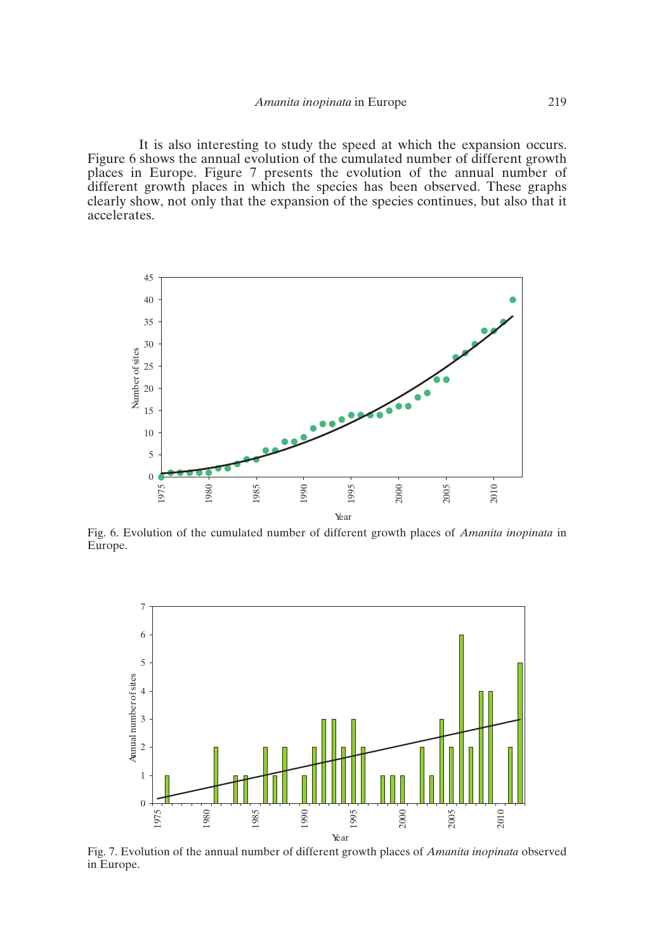It is also interesting to study the speed at which the expansion occurs. Figure 6 shows the annual evolution of the cumulated number of different growth places in Europe. Figure 7 presents the evolution of the annual number of different growth places in which the species has been observed. These graphs clearly show, not only that the expansion of the species continues, but also that it accelerates.



Fig. 6. Evolution of the cumulated number of different growth places of *Amanita inopinata* in Europe.



Fig. 7. Evolution of the annual number of different growth places of *Amanita inopinata* observed in Europe.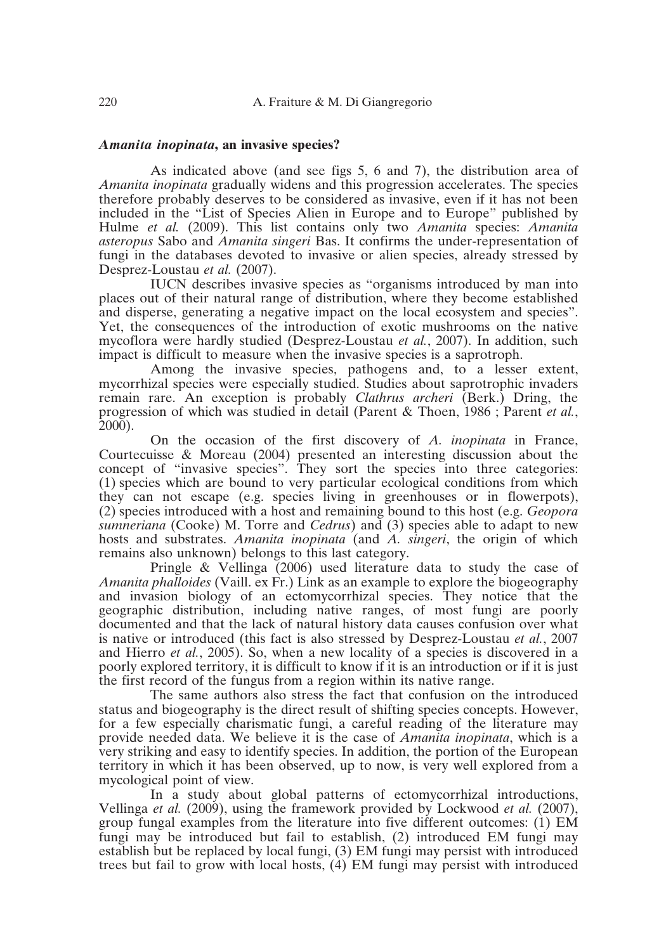# *Amanita inopinata***, an invasive species?**

As indicated above (and see figs 5, 6 and 7), the distribution area of *Amanita inopinata* gradually widens and this progression accelerates. The species therefore probably deserves to be considered as invasive, even if it has not been included in the "List of Species Alien in Europe and to Europe" published by Hulme *et al.* (2009). This list contains only two *Amanita* species: *Amanita asteropus* Sabo and *Amanita singeri* Bas. It confirms the under-representation of fungi in the databases devoted to invasive or alien species, already stressed by Desprez-Loustau *et al.* (2007).

IUCN describes invasive species as "organisms introduced by man into places out of their natural range of distribution, where they become established and disperse, generating a negative impact on the local ecosystem and species". Yet, the consequences of the introduction of exotic mushrooms on the native mycoflora were hardly studied (Desprez-Loustau *et al.*, 2007). In addition, such impact is difficult to measure when the invasive species is a saprotroph.

Among the invasive species, pathogens and, to a lesser extent, mycorrhizal species were especially studied. Studies about saprotrophic invaders remain rare. An exception is probably *Clathrus archeri* (Berk.) Dring, the progression of which was studied in detail (Parent & Thoen, 1986 ; Parent *et al.*,  $2000$ ).

On the occasion of the first discovery of *A. inopinata* in France, Courtecuisse & Moreau (2004) presented an interesting discussion about the concept of "invasive species". They sort the species into three categories: (1) species which are bound to very particular ecological conditions from which they can not escape (e.g. species living in greenhouses or in flowerpots), (2) species introduced with a host and remaining bound to this host (e.g. *Geopora sumneriana* (Cooke) M. Torre and *Cedrus*) and (3) species able to adapt to new hosts and substrates. *Amanita inopinata* (and *A. singeri*, the origin of which remains also unknown) belongs to this last category.

Pringle & Vellinga (2006) used literature data to study the case of *Amanita phalloides* (Vaill. ex Fr.) Link as an example to explore the biogeography and invasion biology of an ectomycorrhizal species. They notice that the geographic distribution, including native ranges, of most fungi are poorly documented and that the lack of natural history data causes confusion over what is native or introduced (this fact is also stressed by Desprez-Loustau *et al.*, 2007 and Hierro *et al.*, 2005). So, when a new locality of a species is discovered in a poorly explored territory, it is difficult to know if it is an introduction or if it is just the first record of the fungus from a region within its native range.

The same authors also stress the fact that confusion on the introduced status and biogeography is the direct result of shifting species concepts. However, for a few especially charismatic fungi, a careful reading of the literature may provide needed data. We believe it is the case of *Amanita inopinata*, which is a very striking and easy to identify species. In addition, the portion of the European territory in which it has been observed, up to now, is very well explored from a mycological point of view.

In a study about global patterns of ectomycorrhizal introductions, Vellinga *et al.* (2009), using the framework provided by Lockwood *et al.* (2007), group fungal examples from the literature into five different outcomes: (1) EM fungi may be introduced but fail to establish, (2) introduced EM fungi may establish but be replaced by local fungi, (3) EM fungi may persist with introduced trees but fail to grow with local hosts, (4) EM fungi may persist with introduced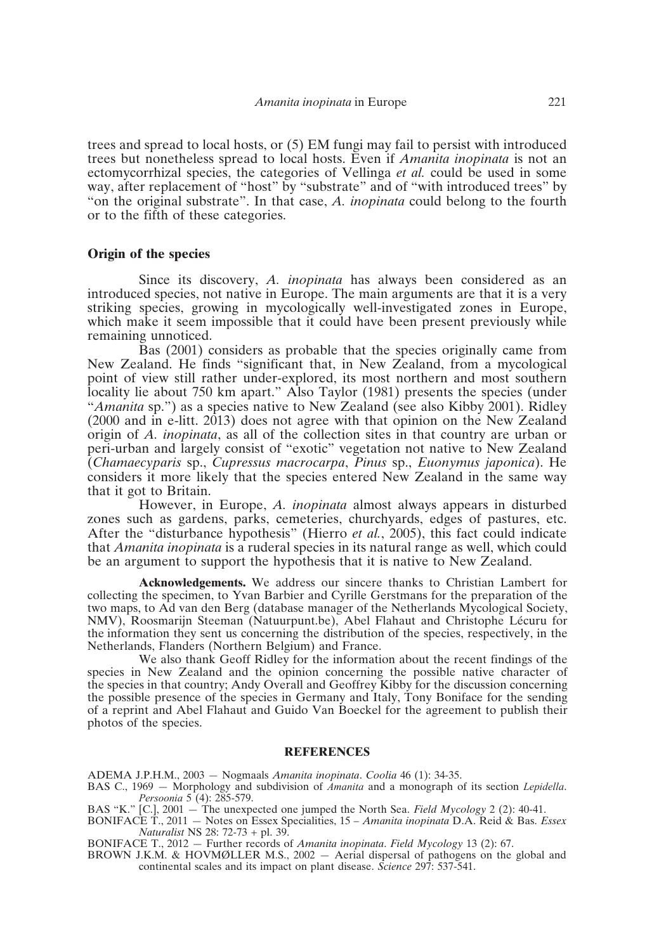trees and spread to local hosts, or (5) EM fungi may fail to persist with introduced trees but nonetheless spread to local hosts. Even if *Amanita inopinata* is not an ectomycorrhizal species, the categories of Vellinga *et al.* could be used in some way, after replacement of "host" by "substrate" and of "with introduced trees" by "on the original substrate". In that case, *A. inopinata* could belong to the fourth or to the fifth of these categories.

#### **Origin of the species**

Since its discovery, *A. inopinata* has always been considered as an introduced species, not native in Europe. The main arguments are that it is a very striking species, growing in mycologically well-investigated zones in Europe, which make it seem impossible that it could have been present previously while remaining unnoticed.

Bas (2001) considers as probable that the species originally came from New Zealand. He finds "significant that, in New Zealand, from a mycological point of view still rather under-explored, its most northern and most southern locality lie about 750 km apart." Also Taylor (1981) presents the species (under "*Amanita* sp.") as a species native to New Zealand (see also Kibby 2001). Ridley (2000 and in e-litt. 2013) does not agree with that opinion on the New Zealand origin of *A. inopinata*, as all of the collection sites in that country are urban or peri-urban and largely consist of "exotic" vegetation not native to New Zealand (*Chamaecyparis* sp., *Cupressus macrocarpa*, *Pinus* sp., *Euonymus japonica*). He considers it more likely that the species entered New Zealand in the same way that it got to Britain.

However, in Europe, *A. inopinata* almost always appears in disturbed zones such as gardens, parks, cemeteries, churchyards, edges of pastures, etc. After the "disturbance hypothesis" (Hierro *et al.*, 2005), this fact could indicate that *Amanita inopinata* is a ruderal species in its natural range as well, which could be an argument to support the hypothesis that it is native to New Zealand.

**Acknowledgements.** We address our sincere thanks to Christian Lambert for collecting the specimen, to Yvan Barbier and Cyrille Gerstmans for the preparation of the two maps, to Ad van den Berg (database manager of the Netherlands Mycological Society, NMV), Roosmarijn Steeman (Natuurpunt.be), Abel Flahaut and Christophe Lécuru for the information they sent us concerning the distribution of the species, respectively, in the Netherlands, Flanders (Northern Belgium) and France.

We also thank Geoff Ridley for the information about the recent findings of the species in New Zealand and the opinion concerning the possible native character of the species in that country; Andy Overall and Geoffrey Kibby for the discussion concerning the possible presence of the species in Germany and Italy, Tony Boniface for the sending of a reprint and Abel Flahaut and Guido Van Boeckel for the agreement to publish their photos of the species.

## **REFERENCES**

ADEMA J.P.H.M., 2003 — Nogmaals *Amanita inopinata*. *Coolia* 46 (1): 34-35.

- BAS C., 1969 Morphology and subdivision of *Amanita* and a monograph of its section *Lepidella*. *Persoonia* 5 (4): 285-579.
- BAS "K." [C.], 2001 The unexpected one jumped the North Sea. *Field Mycology* 2 (2): 40-41.
- BONIFACE T., 2011 Notes on Essex Specialities, 15 *Amanita inopinata* D.A. Reid & Bas. *Essex Naturalist* NS 28: 72-73 + pl. 39.

BONIFACE T., 2012 — Further records of *Amanita inopinata*. *Field Mycology* 13 (2): 67.

BROWN J.K.M. & HOVMØLLER M.S., 2002 — Aerial dispersal of pathogens on the global and continental scales and its impact on plant disease. *Science* 297: 537-541.